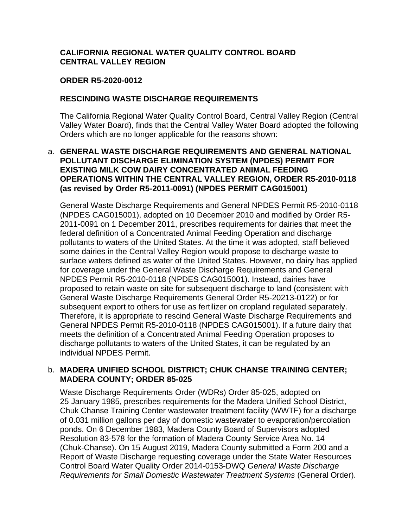## **CALIFORNIA REGIONAL WATER QUALITY CONTROL BOARD CENTRAL VALLEY REGION**

### **ORDER R5-2020-0012**

### **RESCINDING WASTE DISCHARGE REQUIREMENTS**

The California Regional Water Quality Control Board, Central Valley Region (Central Valley Water Board), finds that the Central Valley Water Board adopted the following Orders which are no longer applicable for the reasons shown:

### a. **GENERAL WASTE DISCHARGE REQUIREMENTS AND GENERAL NATIONAL POLLUTANT DISCHARGE ELIMINATION SYSTEM (NPDES) PERMIT FOR EXISTING MILK COW DAIRY CONCENTRATED ANIMAL FEEDING OPERATIONS WITHIN THE CENTRAL VALLEY REGION, ORDER R5-2010-0118 (as revised by Order R5-2011-0091) (NPDES PERMIT CAG015001)**

General Waste Discharge Requirements and General NPDES Permit R5-2010-0118 (NPDES CAG015001), adopted on 10 December 2010 and modified by Order R5- 2011-0091 on 1 December 2011, prescribes requirements for dairies that meet the federal definition of a Concentrated Animal Feeding Operation and discharge pollutants to waters of the United States. At the time it was adopted, staff believed some dairies in the Central Valley Region would propose to discharge waste to surface waters defined as water of the United States. However, no dairy has applied for coverage under the General Waste Discharge Requirements and General NPDES Permit R5-2010-0118 (NPDES CAG015001). Instead, dairies have proposed to retain waste on site for subsequent discharge to land (consistent with General Waste Discharge Requirements General Order R5-20213-0122) or for subsequent export to others for use as fertilizer on cropland regulated separately. Therefore, it is appropriate to rescind General Waste Discharge Requirements and General NPDES Permit R5-2010-0118 (NPDES CAG015001). If a future dairy that meets the definition of a Concentrated Animal Feeding Operation proposes to discharge pollutants to waters of the United States, it can be regulated by an individual NPDES Permit.

### b. **MADERA UNIFIED SCHOOL DISTRICT; CHUK CHANSE TRAINING CENTER; MADERA COUNTY; ORDER 85-025**

Waste Discharge Requirements Order (WDRs) Order 85-025, adopted on 25 January 1985, prescribes requirements for the Madera Unified School District, Chuk Chanse Training Center wastewater treatment facility (WWTF) for a discharge of 0.031 million gallons per day of domestic wastewater to evaporation/percolation ponds. On 6 December 1983, Madera County Board of Supervisors adopted Resolution 83-578 for the formation of Madera County Service Area No. 14 (Chuk-Chanse). On 15 August 2019, Madera County submitted a Form 200 and a Report of Waste Discharge requesting coverage under the State Water Resources Control Board Water Quality Order 2014-0153-DWQ *General Waste Discharge Requirements for Small Domestic Wastewater Treatment Systems* (General Order).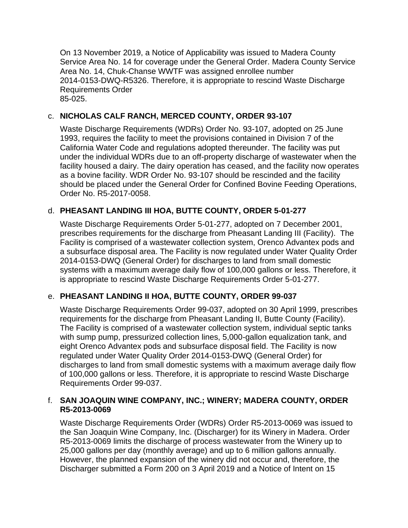On 13 November 2019, a Notice of Applicability was issued to Madera County Service Area No. 14 for coverage under the General Order. Madera County Service Area No. 14, Chuk-Chanse WWTF was assigned enrollee number 2014-0153-DWQ-R5326. Therefore, it is appropriate to rescind Waste Discharge Requirements Order 85-025.

# c. **NICHOLAS CALF RANCH, MERCED COUNTY, ORDER 93-107**

Waste Discharge Requirements (WDRs) Order No. 93-107, adopted on 25 June 1993, requires the facility to meet the provisions contained in Division 7 of the California Water Code and regulations adopted thereunder. The facility was put under the individual WDRs due to an off-property discharge of wastewater when the facility housed a dairy. The dairy operation has ceased, and the facility now operates as a bovine facility. WDR Order No. 93-107 should be rescinded and the facility should be placed under the General Order for Confined Bovine Feeding Operations, Order No. R5-2017-0058.

## d. **PHEASANT LANDING III HOA, BUTTE COUNTY, ORDER 5-01-277**

Waste Discharge Requirements Order 5-01-277, adopted on 7 December 2001, prescribes requirements for the discharge from Pheasant Landing III (Facility). The Facility is comprised of a wastewater collection system, Orenco Advantex pods and a subsurface disposal area. The Facility is now regulated under Water Quality Order 2014-0153-DWQ (General Order) for discharges to land from small domestic systems with a maximum average daily flow of 100,000 gallons or less. Therefore, it is appropriate to rescind Waste Discharge Requirements Order 5-01-277.

### e. **PHEASANT LANDING II HOA, BUTTE COUNTY, ORDER 99-037**

Waste Discharge Requirements Order 99-037, adopted on 30 April 1999, prescribes requirements for the discharge from Pheasant Landing II, Butte County (Facility). The Facility is comprised of a wastewater collection system, individual septic tanks with sump pump, pressurized collection lines, 5,000-gallon equalization tank, and eight Orenco Advantex pods and subsurface disposal field. The Facility is now regulated under Water Quality Order 2014-0153-DWQ (General Order) for discharges to land from small domestic systems with a maximum average daily flow of 100,000 gallons or less. Therefore, it is appropriate to rescind Waste Discharge Requirements Order 99-037.

## f. **SAN JOAQUIN WINE COMPANY, INC.; WINERY; MADERA COUNTY, ORDER R5-2013-0069**

Waste Discharge Requirements Order (WDRs) Order R5-2013-0069 was issued to the San Joaquin Wine Company, Inc. (Discharger) for its Winery in Madera. Order R5-2013-0069 limits the discharge of process wastewater from the Winery up to 25,000 gallons per day (monthly average) and up to 6 million gallons annually. However, the planned expansion of the winery did not occur and, therefore, the Discharger submitted a Form 200 on 3 April 2019 and a Notice of Intent on 15